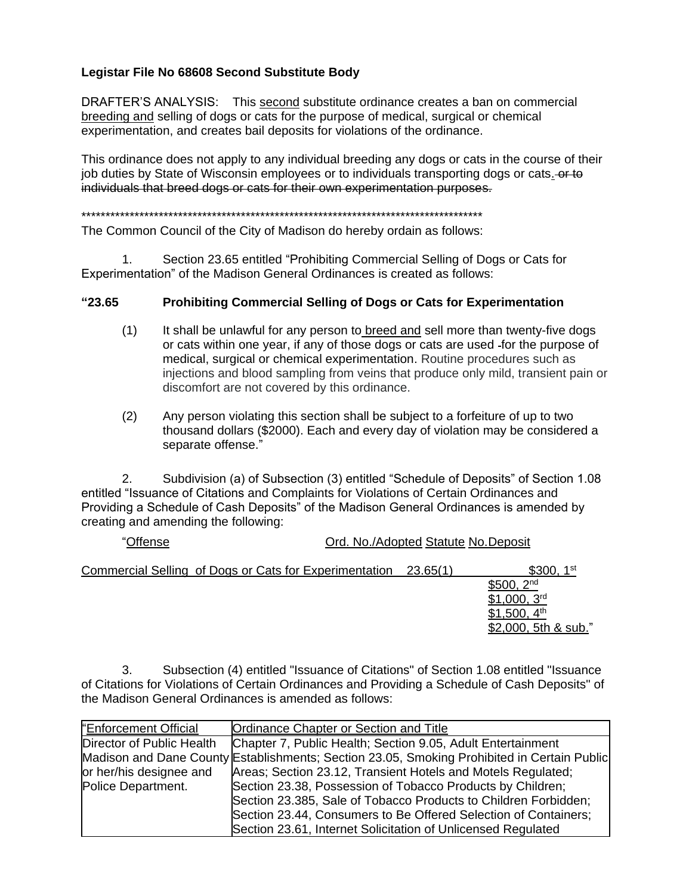## **Legistar File No 68608 Second Substitute Body**

DRAFTER'S ANALYSIS: This second substitute ordinance creates a ban on commercial breeding and selling of dogs or cats for the purpose of medical, surgical or chemical experimentation, and creates bail deposits for violations of the ordinance.

This ordinance does not apply to any individual breeding any dogs or cats in the course of their job duties by State of Wisconsin employees or to individuals transporting dogs or cats. - or to individuals that breed dogs or cats for their own experimentation purposes.

## \*\*\*\*\*\*\*\*\*\*\*\*\*\*\*\*\*\*\*\*\*\*\*\*\*\*\*\*\*\*\*\*\*\*\*\*\*\*\*\*\*\*\*\*\*\*\*\*\*\*\*\*\*\*\*\*\*\*\*\*\*\*\*\*\*\*\*\*\*\*\*\*\*\*\*\*\*\*\*\*\*\*\*

The Common Council of the City of Madison do hereby ordain as follows:

1. Section 23.65 entitled "Prohibiting Commercial Selling of Dogs or Cats for Experimentation" of the Madison General Ordinances is created as follows:

## **"23.65 Prohibiting Commercial Selling of Dogs or Cats for Experimentation**

- $(1)$  It shall be unlawful for any person to breed and sell more than twenty-five dogs or cats within one year, if any of those dogs or cats are used for the purpose of medical, surgical or chemical experimentation. Routine procedures such as injections and blood sampling from veins that produce only mild, transient pain or discomfort are not covered by this ordinance.
- (2) Any person violating this section shall be subject to a forfeiture of up to two thousand dollars (\$2000). Each and every day of violation may be considered a separate offense."

2. Subdivision (a) of Subsection (3) entitled "Schedule of Deposits" of Section 1.08 entitled "Issuance of Citations and Complaints for Violations of Certain Ordinances and Providing a Schedule of Cash Deposits" of the Madison General Ordinances is amended by creating and amending the following:

| "Offense | Ord. No./Adopted Statute No.Deposit |
|----------|-------------------------------------|
|          |                                     |

| Commercial Selling of Dogs or Cats for Experimentation 23.65(1) | 1 st<br>\$300.            |
|-----------------------------------------------------------------|---------------------------|
|                                                                 | 2 <sub>nd</sub><br>\$500. |
|                                                                 | \$1,000,3 <sup>rd</sup>   |
|                                                                 | \$1,500, $4th$            |
|                                                                 | \$2,000, 5th & sub."      |

3. Subsection (4) entitled "Issuance of Citations" of Section 1.08 entitled "Issuance of Citations for Violations of Certain Ordinances and Providing a Schedule of Cash Deposits" of the Madison General Ordinances is amended as follows:

| "Enforcement Official     | Ordinance Chapter or Section and Title                                                      |
|---------------------------|---------------------------------------------------------------------------------------------|
| Director of Public Health | Chapter 7, Public Health; Section 9.05, Adult Entertainment                                 |
|                           | Madison and Dane County Establishments; Section 23.05, Smoking Prohibited in Certain Public |
| or her/his designee and   | Areas; Section 23.12, Transient Hotels and Motels Regulated;                                |
| Police Department.        | Section 23.38, Possession of Tobacco Products by Children;                                  |
|                           | Section 23.385, Sale of Tobacco Products to Children Forbidden;                             |
|                           | Section 23.44, Consumers to Be Offered Selection of Containers;                             |
|                           | Section 23.61, Internet Solicitation of Unlicensed Regulated                                |